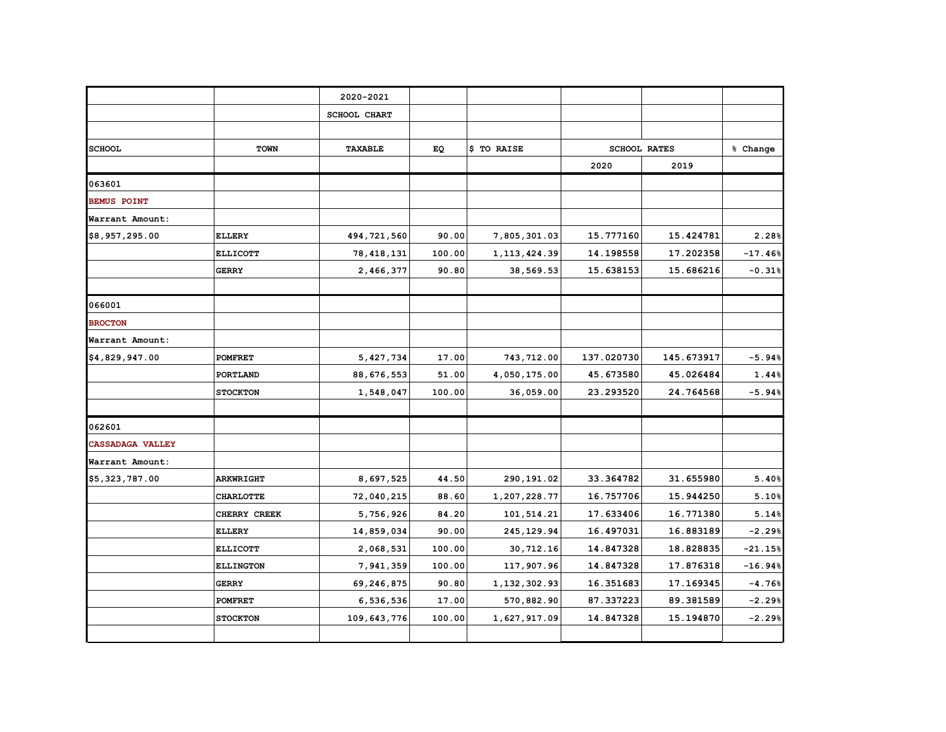|                         |                  | 2020-2021           |        |                |            |                     |           |
|-------------------------|------------------|---------------------|--------|----------------|------------|---------------------|-----------|
|                         |                  | <b>SCHOOL CHART</b> |        |                |            |                     |           |
|                         |                  |                     |        |                |            |                     |           |
| <b>SCHOOL</b>           | TOWN             | TAXABLE             | EQ     | \$ TO RAISE    |            | <b>SCHOOL RATES</b> | % Change  |
|                         |                  |                     |        |                | 2020       | 2019                |           |
| 063601                  |                  |                     |        |                |            |                     |           |
| <b>BEMUS POINT</b>      |                  |                     |        |                |            |                     |           |
| Warrant Amount:         |                  |                     |        |                |            |                     |           |
| \$8,957,295.00          | <b>ELLERY</b>    | 494,721,560         | 90.00  | 7,805,301.03   | 15.777160  | 15.424781           | 2.28%     |
|                         | <b>ELLICOTT</b>  | 78, 418, 131        | 100.00 | 1, 113, 424.39 | 14.198558  | 17.202358           | $-17.46%$ |
|                         | <b>GERRY</b>     | 2,466,377           | 90.80  | 38,569.53      | 15.638153  | 15.686216           | $-0.31%$  |
| 066001                  |                  |                     |        |                |            |                     |           |
| <b>BROCTON</b>          |                  |                     |        |                |            |                     |           |
| Warrant Amount:         |                  |                     |        |                |            |                     |           |
| \$4,829,947.00          | <b>POMFRET</b>   | 5,427,734           | 17.00  | 743,712.00     | 137.020730 | 145.673917          | $-5.94%$  |
|                         | PORTLAND         | 88,676,553          | 51.00  | 4,050,175.00   | 45.673580  | 45.026484           | 1.44%     |
|                         | <b>STOCKTON</b>  | 1,548,047           | 100.00 | 36,059.00      | 23.293520  | 24.764568           | $-5.94%$  |
| 062601                  |                  |                     |        |                |            |                     |           |
| <b>CASSADAGA VALLEY</b> |                  |                     |        |                |            |                     |           |
| Warrant Amount:         |                  |                     |        |                |            |                     |           |
| \$5,323,787.00          | <b>ARKWRIGHT</b> | 8,697,525           | 44.50  | 290,191.02     | 33.364782  | 31.655980           | 5.40%     |
|                         | <b>CHARLOTTE</b> | 72,040,215          | 88.60  | 1,207,228.77   | 16.757706  | 15.944250           | 5.10%     |
|                         | CHERRY CREEK     | 5,756,926           | 84.20  | 101,514.21     | 17.633406  | 16.771380           | 5.14%     |
|                         | <b>ELLERY</b>    | 14,859,034          | 90.00  | 245,129.94     | 16.497031  | 16.883189           | $-2.29%$  |
|                         | <b>ELLICOTT</b>  | 2,068,531           | 100.00 | 30,712.16      | 14.847328  | 18.828835           | $-21.15%$ |
|                         | <b>ELLINGTON</b> | 7,941,359           | 100.00 | 117,907.96     | 14.847328  | 17.876318           | $-16.94%$ |
|                         | <b>GERRY</b>     | 69,246,875          | 90.80  | 1,132,302.93   | 16.351683  | 17.169345           | $-4.76%$  |
|                         | <b>POMFRET</b>   | 6,536,536           | 17.00  | 570,882.90     | 87.337223  | 89.381589           | $-2.29%$  |
|                         | <b>STOCKTON</b>  | 109,643,776         | 100.00 | 1,627,917.09   | 14.847328  | 15.194870           | $-2.29%$  |
|                         |                  |                     |        |                |            |                     |           |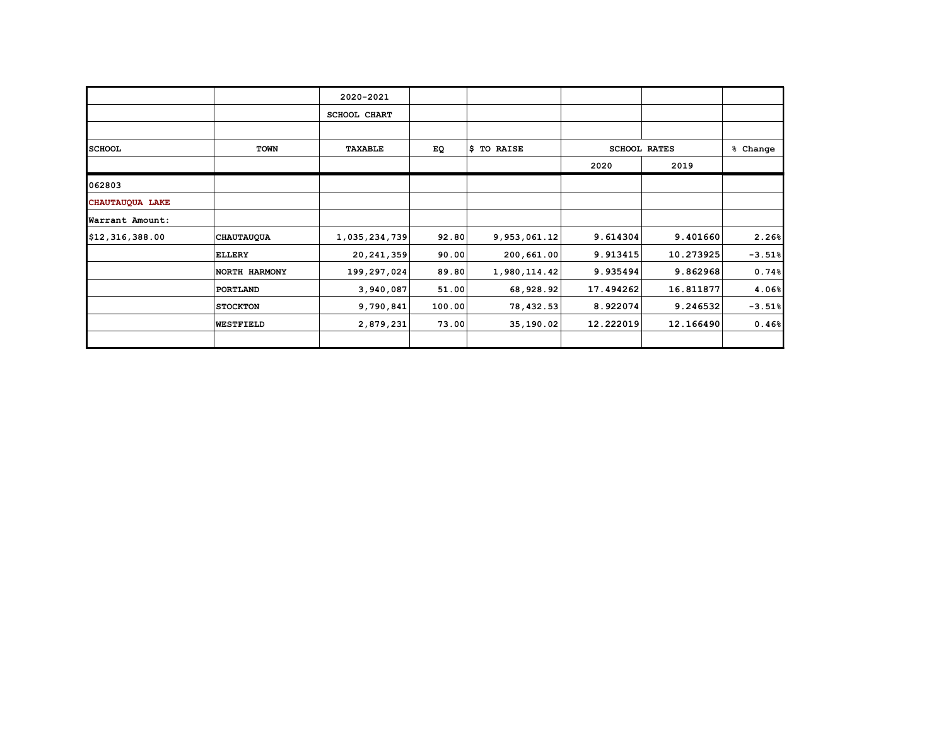|                 |                   | 2020-2021           |        |              |           |                     |          |
|-----------------|-------------------|---------------------|--------|--------------|-----------|---------------------|----------|
|                 |                   | <b>SCHOOL CHART</b> |        |              |           |                     |          |
|                 |                   |                     |        |              |           |                     |          |
| <b>SCHOOL</b>   | <b>TOWN</b>       | TAXABLE             | EQ     | \$ TO RAISE  |           | <b>SCHOOL RATES</b> | % Change |
|                 |                   |                     |        |              | 2020      | 2019                |          |
| 062803          |                   |                     |        |              |           |                     |          |
| CHAUTAUQUA LAKE |                   |                     |        |              |           |                     |          |
| Warrant Amount: |                   |                     |        |              |           |                     |          |
| \$12,316,388.00 | <b>CHAUTAUQUA</b> | 1,035,234,739       | 92.80  | 9,953,061.12 | 9.614304  | 9.401660            | 2.26%    |
|                 | <b>ELLERY</b>     | 20, 241, 359        | 90.00  | 200,661.00   | 9.913415  | 10.273925           | $-3.51%$ |
|                 | NORTH HARMONY     | 199,297,024         | 89.80  | 1,980,114.42 | 9.935494  | 9.862968            | 0.74%    |
|                 | PORTLAND          | 3,940,087           | 51.00  | 68,928.92    | 17.494262 | 16.811877           | 4.06%    |
|                 | <b>STOCKTON</b>   | 9,790,841           | 100.00 | 78,432.53    | 8.922074  | 9.246532            | $-3.51%$ |
|                 | <b>WESTFIELD</b>  | 2,879,231           | 73.00  | 35,190.02    | 12.222019 | 12.166490           | 0.46%    |
|                 |                   |                     |        |              |           |                     |          |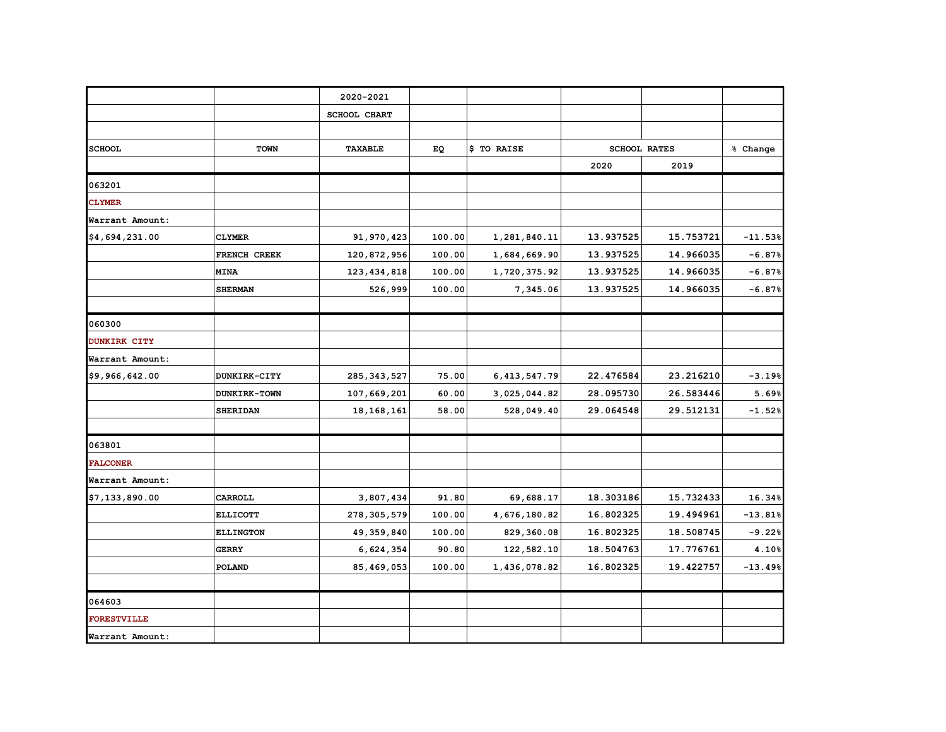|                     |                  | 2020-2021     |        |                 |           |                     |           |
|---------------------|------------------|---------------|--------|-----------------|-----------|---------------------|-----------|
|                     |                  | SCHOOL CHART  |        |                 |           |                     |           |
|                     |                  |               |        |                 |           |                     |           |
| <b>SCHOOL</b>       | TOWN             | TAXABLE       | EQ     | \$ TO RAISE     |           | <b>SCHOOL RATES</b> | % Change  |
|                     |                  |               |        |                 | 2020      | 2019                |           |
| 063201              |                  |               |        |                 |           |                     |           |
| <b>CLYMER</b>       |                  |               |        |                 |           |                     |           |
| Warrant Amount:     |                  |               |        |                 |           |                     |           |
| \$4,694,231.00      | <b>CLYMER</b>    | 91,970,423    | 100.00 | 1,281,840.11    | 13.937525 | 15.753721           | $-11.53%$ |
|                     | FRENCH CREEK     | 120,872,956   | 100.00 | 1,684,669.90    | 13.937525 | 14.966035           | $-6.87%$  |
|                     | <b>MINA</b>      | 123, 434, 818 | 100.00 | 1,720,375.92    | 13.937525 | 14.966035           | $-6.87%$  |
|                     | <b>SHERMAN</b>   | 526,999       | 100.00 | 7,345.06        | 13.937525 | 14.966035           | $-6.87%$  |
|                     |                  |               |        |                 |           |                     |           |
| 060300              |                  |               |        |                 |           |                     |           |
| <b>DUNKIRK CITY</b> |                  |               |        |                 |           |                     |           |
| Warrant Amount:     |                  |               |        |                 |           |                     |           |
| \$9,966,642.00      | DUNKIRK-CITY     | 285, 343, 527 | 75.00  | 6, 413, 547. 79 | 22.476584 | 23.216210           | $-3.19%$  |
|                     | DUNKIRK-TOWN     | 107,669,201   | 60.00  | 3,025,044.82    | 28.095730 | 26.583446           | 5.69%     |
|                     | <b>SHERIDAN</b>  | 18, 168, 161  | 58.00  | 528,049.40      | 29.064548 | 29.512131           | $-1.52%$  |
|                     |                  |               |        |                 |           |                     |           |
| 063801              |                  |               |        |                 |           |                     |           |
| <b>FALCONER</b>     |                  |               |        |                 |           |                     |           |
| Warrant Amount:     |                  |               |        |                 |           |                     |           |
| \$7,133,890.00      | CARROLL          | 3,807,434     | 91.80  | 69,688.17       | 18.303186 | 15.732433           | 16.34%    |
|                     | <b>ELLICOTT</b>  | 278, 305, 579 | 100.00 | 4,676,180.82    | 16.802325 | 19.494961           | $-13.81%$ |
|                     | <b>ELLINGTON</b> | 49, 359, 840  | 100.00 | 829,360.08      | 16.802325 | 18.508745           | $-9.22%$  |
|                     | <b>GERRY</b>     | 6,624,354     | 90.80  | 122,582.10      | 18.504763 | 17.776761           | 4.10%     |
|                     | POLAND           | 85,469,053    | 100.00 | 1,436,078.82    | 16.802325 | 19.422757           | $-13.49%$ |
|                     |                  |               |        |                 |           |                     |           |
| 064603              |                  |               |        |                 |           |                     |           |
| <b>FORESTVILLE</b>  |                  |               |        |                 |           |                     |           |
| Warrant Amount:     |                  |               |        |                 |           |                     |           |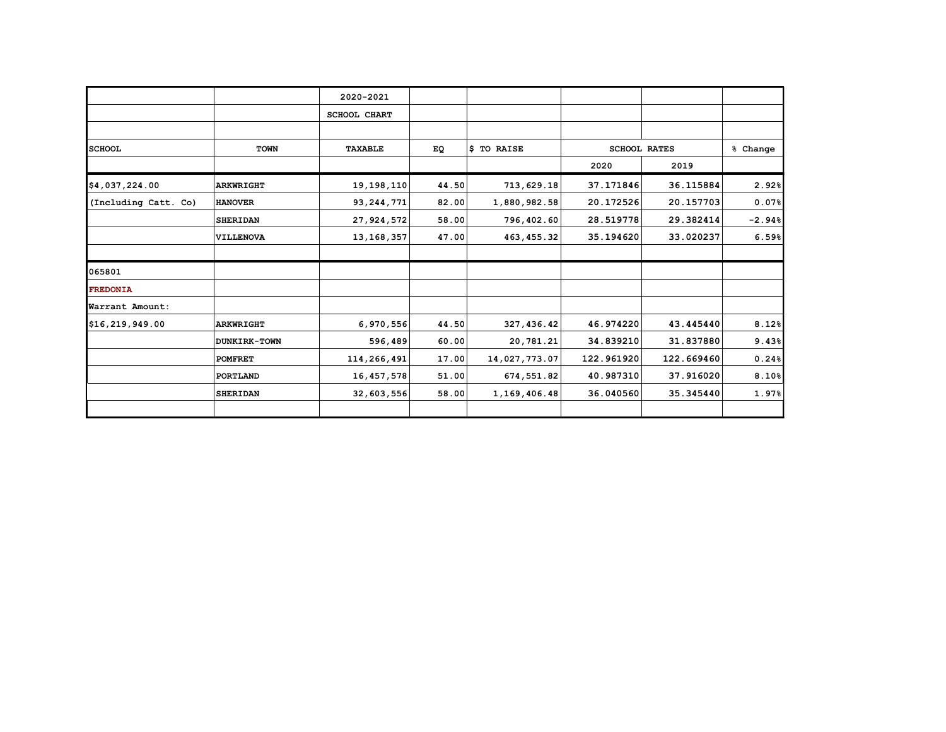|                      |                  | 2020-2021           |       |               |                     |            |          |
|----------------------|------------------|---------------------|-------|---------------|---------------------|------------|----------|
|                      |                  | <b>SCHOOL CHART</b> |       |               |                     |            |          |
|                      |                  |                     |       |               |                     |            |          |
| <b>SCHOOL</b>        | <b>TOWN</b>      | TAXABLE             | EQ    | \$ TO RAISE   | <b>SCHOOL RATES</b> |            | % Change |
|                      |                  |                     |       |               | 2020                | 2019       |          |
| \$4,037,224.00       | <b>ARKWRIGHT</b> | 19, 198, 110        | 44.50 | 713,629.18    | 37.171846           | 36.115884  | 2.92%    |
| (Including Catt. Co) | <b>HANOVER</b>   | 93, 244, 771        | 82.00 | 1,880,982.58  | 20.172526           | 20.157703  | 0.07%    |
|                      | <b>SHERIDAN</b>  | 27, 924, 572        | 58.00 | 796,402.60    | 28.519778           | 29.382414  | $-2.94%$ |
|                      | <b>VILLENOVA</b> | 13, 168, 357        | 47.00 | 463, 455.32   | 35.194620           | 33.020237  | 6.59%    |
| 065801               |                  |                     |       |               |                     |            |          |
| <b>FREDONIA</b>      |                  |                     |       |               |                     |            |          |
| Warrant Amount:      |                  |                     |       |               |                     |            |          |
| \$16,219,949.00      | <b>ARKWRIGHT</b> | 6,970,556           | 44.50 | 327,436.42    | 46.974220           | 43.445440  | 8.12%    |
|                      | DUNKIRK-TOWN     | 596,489             | 60.00 | 20,781.21     | 34.839210           | 31.837880  | 9.43%    |
|                      | <b>POMFRET</b>   | 114,266,491         | 17.00 | 14,027,773.07 | 122.961920          | 122.669460 | 0.24%    |
|                      | PORTLAND         | 16,457,578          | 51.00 | 674,551.82    | 40.987310           | 37.916020  | 8.10%    |
|                      | <b>SHERIDAN</b>  | 32,603,556          | 58.00 | 1,169,406.48  | 36.040560           | 35.345440  | 1.97%    |
|                      |                  |                     |       |               |                     |            |          |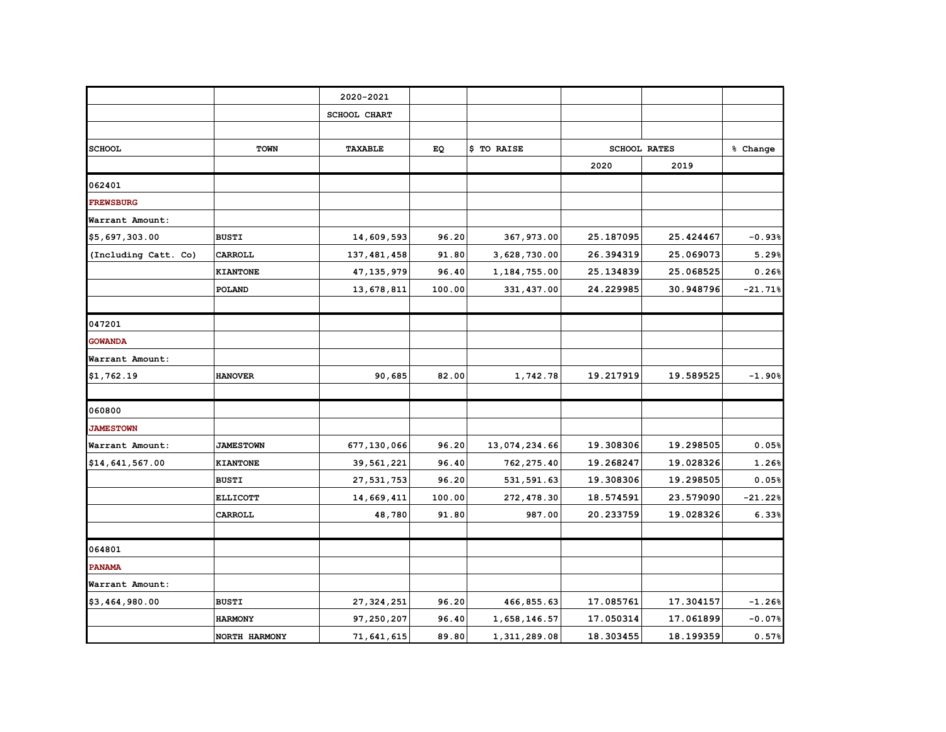|                      |                  | 2020-2021      |        |               |           |                     |           |
|----------------------|------------------|----------------|--------|---------------|-----------|---------------------|-----------|
|                      |                  |                |        |               |           |                     |           |
|                      |                  | SCHOOL CHART   |        |               |           |                     |           |
|                      |                  |                |        |               |           |                     |           |
| <b>SCHOOL</b>        | <b>TOWN</b>      | <b>TAXABLE</b> | EQ     | \$ TO RAISE   |           | <b>SCHOOL RATES</b> | % Change  |
|                      |                  |                |        |               | 2020      | 2019                |           |
| 062401               |                  |                |        |               |           |                     |           |
| <b>FREWSBURG</b>     |                  |                |        |               |           |                     |           |
| Warrant Amount:      |                  |                |        |               |           |                     |           |
| \$5,697,303.00       | <b>BUSTI</b>     | 14,609,593     | 96.20  | 367,973.00    | 25.187095 | 25.424467           | $-0.93%$  |
| (Including Catt. Co) | CARROLL          | 137, 481, 458  | 91.80  | 3,628,730.00  | 26.394319 | 25.069073           | 5.29%     |
|                      | <b>KIANTONE</b>  | 47, 135, 979   | 96.40  | 1,184,755.00  | 25.134839 | 25.068525           | 0.26%     |
|                      | POLAND           | 13,678,811     | 100.00 | 331,437.00    | 24.229985 | 30.948796           | $-21.71%$ |
|                      |                  |                |        |               |           |                     |           |
| 047201               |                  |                |        |               |           |                     |           |
| <b>GOWANDA</b>       |                  |                |        |               |           |                     |           |
| Warrant Amount:      |                  |                |        |               |           |                     |           |
| \$1,762.19           | <b>HANOVER</b>   | 90,685         | 82.00  | 1,742.78      | 19.217919 | 19.589525           | $-1.90%$  |
| 060800               |                  |                |        |               |           |                     |           |
| <b>JAMESTOWN</b>     |                  |                |        |               |           |                     |           |
| Warrant Amount:      | <b>JAMESTOWN</b> | 677,130,066    | 96.20  | 13,074,234.66 | 19.308306 | 19.298505           | 0.05%     |
| \$14,641,567.00      | <b>KIANTONE</b>  | 39,561,221     | 96.40  | 762, 275.40   | 19.268247 | 19.028326           | 1.26%     |
|                      | <b>BUSTI</b>     | 27,531,753     | 96.20  | 531,591.63    | 19.308306 | 19.298505           | 0.05%     |
|                      | <b>ELLICOTT</b>  | 14,669,411     | 100.00 | 272,478.30    | 18.574591 | 23.579090           | $-21.22%$ |
|                      | CARROLL          | 48,780         | 91.80  | 987.00        | 20.233759 | 19.028326           | 6.33%     |
|                      |                  |                |        |               |           |                     |           |
| 064801               |                  |                |        |               |           |                     |           |
| <b>PANAMA</b>        |                  |                |        |               |           |                     |           |
| Warrant Amount:      |                  |                |        |               |           |                     |           |
| \$3,464,980.00       | <b>BUSTI</b>     | 27, 324, 251   | 96.20  | 466,855.63    | 17.085761 | 17.304157           | $-1.26%$  |
|                      | <b>HARMONY</b>   | 97,250,207     | 96.40  | 1,658,146.57  | 17.050314 | 17.061899           | $-0.07%$  |
|                      | NORTH HARMONY    | 71,641,615     | 89.80  | 1,311,289.08  | 18.303455 | 18.199359           | 0.57%     |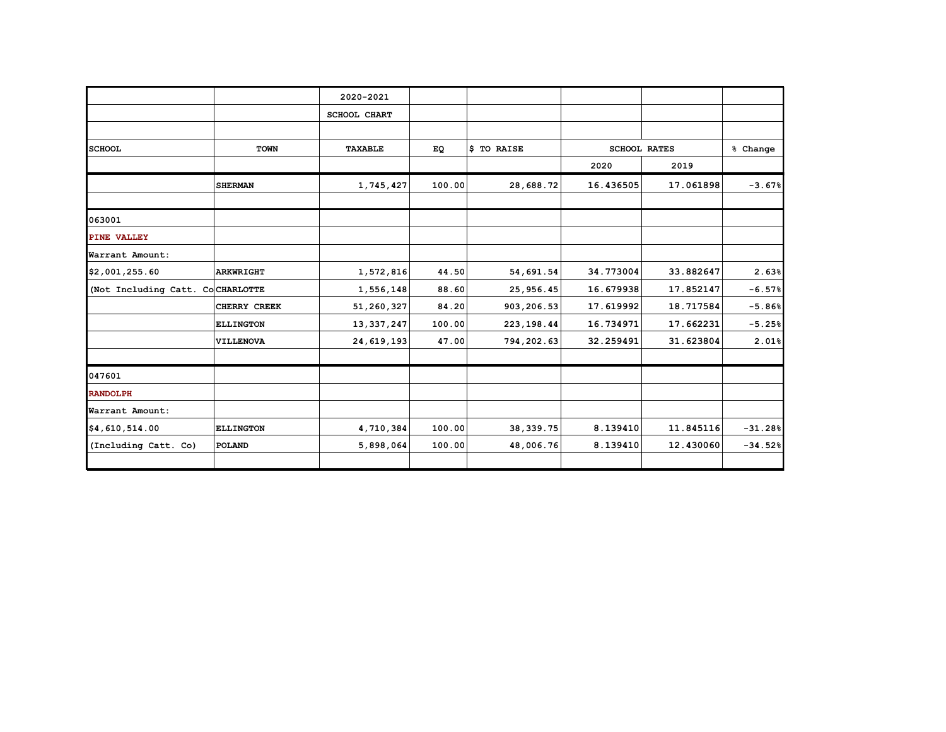|                                  |                  | 2020-2021           |           |             |           |                     |           |
|----------------------------------|------------------|---------------------|-----------|-------------|-----------|---------------------|-----------|
|                                  |                  | <b>SCHOOL CHART</b> |           |             |           |                     |           |
|                                  |                  |                     |           |             |           |                     |           |
| <b>SCHOOL</b>                    | <b>TOWN</b>      | <b>TAXABLE</b>      | <b>EQ</b> | \$ TO RAISE |           | <b>SCHOOL RATES</b> | % Change  |
|                                  |                  |                     |           |             | 2020      | 2019                |           |
|                                  | <b>SHERMAN</b>   | 1,745,427           | 100.00    | 28,688.72   | 16.436505 | 17.061898           | $-3.67%$  |
| 063001                           |                  |                     |           |             |           |                     |           |
| PINE VALLEY                      |                  |                     |           |             |           |                     |           |
| Warrant Amount:                  |                  |                     |           |             |           |                     |           |
| \$2,001,255.60                   | ARKWRIGHT        | 1,572,816           | 44.50     | 54,691.54   | 34.773004 | 33.882647           | 2.63%     |
| (Not Including Catt. CoCHARLOTTE |                  | 1,556,148           | 88.60     | 25,956.45   | 16.679938 | 17.852147           | $-6.57%$  |
|                                  | CHERRY CREEK     | 51,260,327          | 84.20     | 903,206.53  | 17.619992 | 18.717584           | $-5.86%$  |
|                                  | <b>ELLINGTON</b> | 13, 337, 247        | 100.00    | 223, 198.44 | 16.734971 | 17.662231           | $-5.25%$  |
|                                  | VILLENOVA        | 24,619,193          | 47.00     | 794,202.63  | 32.259491 | 31.623804           | 2.01%     |
| 047601                           |                  |                     |           |             |           |                     |           |
| <b>RANDOLPH</b>                  |                  |                     |           |             |           |                     |           |
| Warrant Amount:                  |                  |                     |           |             |           |                     |           |
| \$4,610,514.00                   | <b>ELLINGTON</b> | 4,710,384           | 100.00    | 38, 339. 75 | 8.139410  | 11.845116           | $-31.28%$ |
| (Including Catt. Co)             | POLAND           | 5,898,064           | 100.00    | 48,006.76   | 8.139410  | 12.430060           | $-34.52%$ |
|                                  |                  |                     |           |             |           |                     |           |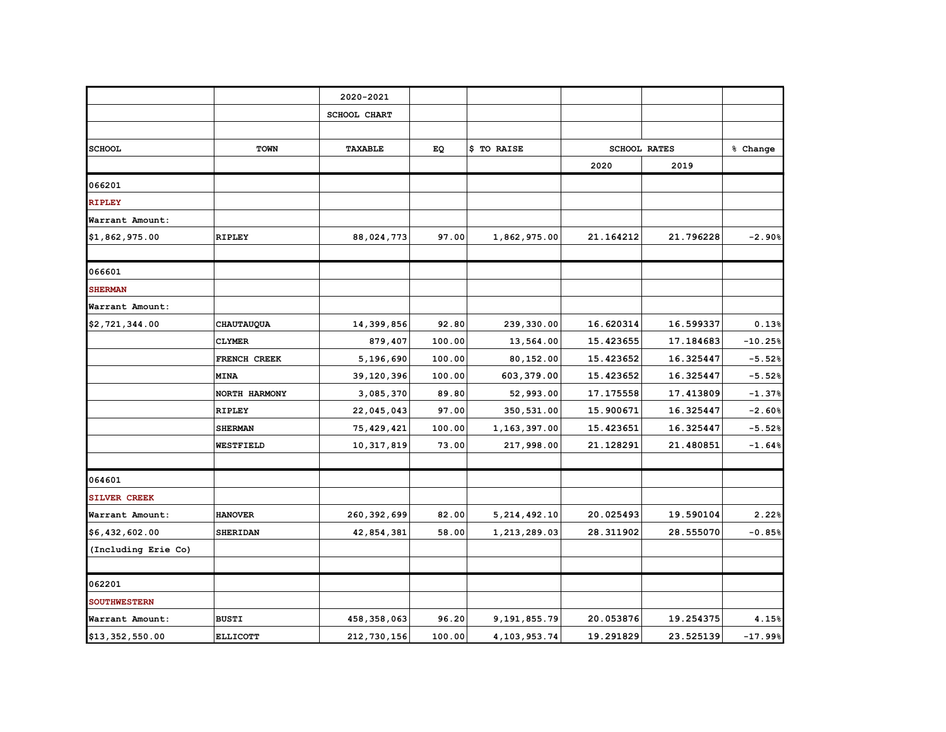|                     |                 | 2020-2021      |        |                 |           |                     |           |
|---------------------|-----------------|----------------|--------|-----------------|-----------|---------------------|-----------|
|                     |                 | SCHOOL CHART   |        |                 |           |                     |           |
|                     |                 |                |        |                 |           |                     |           |
| <b>SCHOOL</b>       | TOWN            | <b>TAXABLE</b> | EQ     | \$ TO RAISE     |           | <b>SCHOOL RATES</b> | % Change  |
|                     |                 |                |        |                 | 2020      | 2019                |           |
| 066201              |                 |                |        |                 |           |                     |           |
| <b>RIPLEY</b>       |                 |                |        |                 |           |                     |           |
| Warrant Amount:     |                 |                |        |                 |           |                     |           |
| \$1,862,975.00      | <b>RIPLEY</b>   | 88,024,773     | 97.00  | 1,862,975.00    | 21.164212 | 21.796228           | $-2.90%$  |
| 066601              |                 |                |        |                 |           |                     |           |
| <b>SHERMAN</b>      |                 |                |        |                 |           |                     |           |
| Warrant Amount:     |                 |                |        |                 |           |                     |           |
| \$2,721,344.00      | CHAUTAUQUA      | 14,399,856     | 92.80  | 239,330.00      | 16.620314 | 16.599337           | 0.13%     |
|                     | <b>CLYMER</b>   | 879,407        | 100.00 | 13,564.00       | 15.423655 | 17.184683           | $-10.25%$ |
|                     | FRENCH CREEK    | 5,196,690      | 100.00 | 80,152.00       | 15.423652 | 16.325447           | $-5.52%$  |
|                     | <b>MINA</b>     | 39,120,396     | 100.00 | 603,379.00      | 15.423652 | 16.325447           | $-5.52%$  |
|                     | NORTH HARMONY   | 3,085,370      | 89.80  | 52,993.00       | 17.175558 | 17.413809           | $-1.37%$  |
|                     | <b>RIPLEY</b>   | 22,045,043     | 97.00  | 350,531.00      | 15.900671 | 16.325447           | $-2.60%$  |
|                     | <b>SHERMAN</b>  | 75, 429, 421   | 100.00 | 1,163,397.00    | 15.423651 | 16.325447           | $-5.52%$  |
|                     | WESTFIELD       | 10,317,819     | 73.00  | 217,998.00      | 21.128291 | 21.480851           | $-1.64%$  |
|                     |                 |                |        |                 |           |                     |           |
| 064601              |                 |                |        |                 |           |                     |           |
| <b>SILVER CREEK</b> |                 |                |        |                 |           |                     |           |
| Warrant Amount:     | <b>HANOVER</b>  | 260, 392, 699  | 82.00  | 5, 214, 492.10  | 20.025493 | 19.590104           | 2.22%     |
| \$6,432,602.00      | <b>SHERIDAN</b> | 42,854,381     | 58.00  | 1,213,289.03    | 28.311902 | 28.555070           | $-0.85%$  |
| (Including Erie Co) |                 |                |        |                 |           |                     |           |
| 062201              |                 |                |        |                 |           |                     |           |
| <b>SOUTHWESTERN</b> |                 |                |        |                 |           |                     |           |
| Warrant Amount:     | <b>BUSTI</b>    | 458, 358, 063  | 96.20  | 9,191,855.79    | 20.053876 | 19.254375           | 4.15%     |
| \$13,352,550.00     | <b>ELLICOTT</b> | 212,730,156    | 100.00 | 4, 103, 953. 74 | 19.291829 | 23.525139           | $-17.99%$ |